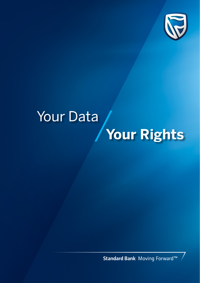

# **Your Rights** Your Data

Standard Bank Moving Forward™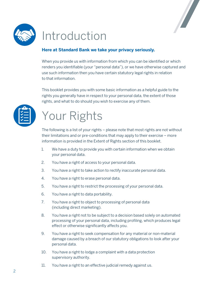



# Introduction

#### **Here at Standard Bank we take your privacy seriously.**

When you provide us with information from which you can be identified or which renders you identifiable (your "personal data"), or we have otherwise captured and use such information then you have certain statutory legal rights in relation to that information.

This booklet provides you with some basic information as a helpful guide to the rights you generally have in respect to your personal data, the extent of those rights, and what to do should you wish to exercise any of them.



# Your Rights

The following is a list of your rights – please note that most rights are not without their limitations and or pre-conditions that may apply to their exercise – more information is provided in the Extent of Rights section of this booklet.

- 1. We have a duty to provide you with certain information when we obtain your personal data.
- 2. You have a right of access to your personal data.
- 3. You have a right to take action to rectify inaccurate personal data.
- 4. You have a right to erase personal data.
- 5. You have a right to restrict the processing of your personal data.
- 6. You have a right to data portability.
- 7. You have a right to object to processing of personal data (including direct marketing).
- 8. You have a right not to be subject to a decision based solely on automated processing of your personal data, including profiling, which produces legal effect or otherwise significantly affects you.
- 9. You have a right to seek compensation for any material or non-material damage caused by a breach of our statutory obligations to look after your personal data.
- 10. You have a right to lodge a complaint with a data protection supervisory authority.
- 11. You have a right to an effective judicial remedy against us.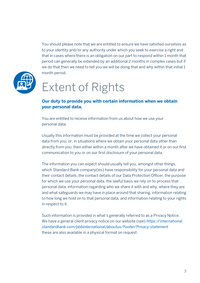

You should please note that we are entitled to ensure we have satisfied ourselves as to your identity and/or any authority under which you seek to exercise a right and that in cases where there is an obligation on our part to respond within 1 month that period can generally be extended by an additional 2 months in complex cases but if we do that then we need to tell you we will be doing that and why within that initial 1 month period.

# Extent of Rights

#### **Our duty to provide you with certain information when we obtain your personal data.**

You are entitled to receive information from us about how we use your personal data.

Usually this information must be provided at the time we collect your personal data from you, or, in situations where we obtain your personal data other than directly from you, then either within a month after we have obtained it or on our first communication to you or on our first disclosure of your personal data.

The information you can expect should usually tell you, amongst other things, which Standard Bank company(ies) have responsibility for your personal data and their contact details, the contact details of our Data Protection Officer, the purpose for which we use your personal data, the lawful basis we rely on to process that personal data, information regarding who we share it with and why, where they are and what safeguards we may have in place around that sharing, information relating to how long we hold on to that personal data, and information relating to your rights in respect to it.

Such information is provided in what's generally referred to as a Privacy Notice. We have a general client privacy notice on our website (see) *https://international. standardbank.com/pbbinternational/aboutus/Footer/Privacy-statement* these are also available in a physical format on request.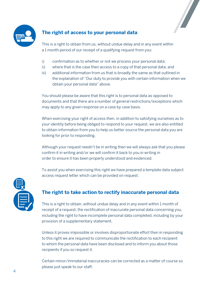

## **The right of access to your personal data**



This is a right to obtain from us, without undue delay and in any event within a 1 month period of our receipt of a qualifying request from you:

- i) confirmation as to whether or not we process your personal data;
- ii) where that is the case then access to a copy of that personal data; and
- iii) additional information from us that is broadly the same as that outlined in the explanation of "Our duty to provide you with certain information when we obtain your personal data" above.

You should please be aware that this right is to personal data as opposed to documents and that there are a number of general restrictions/exceptions which may apply to any given response on a case by case basis.

When exercising your right of access then, in addition to satisfying ourselves as to your identity before being obliged to respond to your request, we are also entitled to obtain information from you to help us better source the personal data you are looking for prior to responding.

Although your request needn't be in writing then we will always ask that you please confirm it in writing and/or we will confirm it back to you in writing in order to ensure it has been properly understood and evidenced.

To assist you when exercising this right we have prepared a template data subject access request letter which can be provided on request.



### **The right to take action to rectify inaccurate personal data**

This is a right to obtain, without undue delay and in any event within 1 month of receipt of a request, the rectification of inaccurate personal data concerning you, including the right to have incomplete personal data completed, including by your provision of a supplementary statement.

Unless it proves impossible or involves disproportionate effort then in responding to this right we are required to communicate the rectification to each recipient to whom the personal data have been disclosed and to inform you about those recipients if you so request it.

Certain minor/immaterial inaccuracies can be corrected as a matter of course so please just speak to our staff.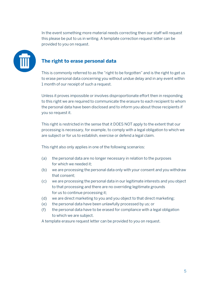In the event something more material needs correcting then our staff will request this please be put to us in writing. A template correction request letter can be provided to you on request.



#### **The right to erase personal data**

This is commonly referred to as the "right to be forgotten" and is the right to get us to erase personal data concerning you without undue delay and in any event within 1 month of our receipt of such a request.

Unless it proves impossible or involves disproportionate effort then in responding to this right we are required to communicate the erasure to each recipient to whom the personal data have been disclosed and to inform you about those recipients if you so request it.

This right is restricted in the sense that it DOES NOT apply to the extent that our processing is necessary, for example, to comply with a legal obligation to which we are subject or for us to establish, exercise or defend a legal claim.

This right also only applies in one of the following scenarios:

- (a) the personal data are no longer necessary in relation to the purposes for which we needed it;
- (b) we are processing the personal data only with your consent and you withdraw that consent;
- (c) we are processing the personal data in our legitimate interests and you object to that processing and there are no overriding legitimate grounds for us to continue processing it;
- (d) we are direct marketing to you and you object to that direct marketing;
- (e) the personal data have been unlawfully processed by us; or
- (f) the personal data have to be erased for compliance with a legal obligation to which we are subject.

A template erasure request letter can be provided to you on request.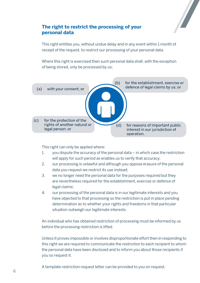

#### **The right to restrict the processing of your personal data**

This right entitles you, without undue delay and in any event within 1 month of receipt of the request, to restrict our processing of your personal data.

Where this right is exercised then such personal data shall, with the exception of being stored, only be processed by us:



This right can only be applied where:

- 1. you dispute the accuracy of the personal data in which case the restriction will apply for such period as enables us to verify that accuracy;
- 2. our processing is unlawful and although you oppose erasure of the personal data you request we restrict its use instead;
- 3. we no longer need the personal data for the purposes required but they are nevertheless required for the establishment, exercise or defence of legal claims;
- 4. our processing of the personal data is in our legitimate interests and you have objected to that processing so the restriction is put in place pending determination as to whether your rights and freedoms in that particular situation outweigh our legitimate interests.

An individual who has obtained restriction of processing must be informed by us before the processing restriction is lifted.

Unless it proves impossible or involves disproportionate effort then in responding to this right we are required to communicate the restriction to each recipient to whom the personal data have been disclosed and to inform you about those recipients if you so request it.

A template restriction request letter can be provided to you on request.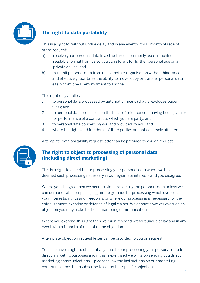

# **The right to data portability**

This is a right to, without undue delay and in any event within 1 month of receipt of the request:

- a) receive your personal data in a structured, commonly used, machinereadable format from us so you can store it for further personal use on a private device; and
- b) transmit personal data from us to another organisation without hindrance, and effectively facilitates the ability to move, copy or transfer personal data easily from one IT environment to another.

This right only applies:

- 1. to personal data processed by automatic means (that is, excludes paper files); and
- 2. to personal data processed on the basis of prior consent having been given or for performance of a contract to which you are party; and
- 3. to personal data concerning you and provided by you; and
- 4. where the rights and freedoms of third parties are not adversely affected.





### **The right to object to processing of personal data (including direct marketing)**

This is a right to object to our processing your personal data where we have deemed such processing necessary in our legitimate interests and you disagree.

Where you disagree then we need to stop processing the personal data unless we can demonstrate compelling legitimate grounds for processing which override your interests, rights and freedoms, or where our processing is necessary for the establishment, exercise or defence of legal claims. We cannot however override an objection you may make to direct marketing communications.

Where you exercise this right then we must respond without undue delay and in any event within 1 month of receipt of the objection.

A template objection request letter can be provided to you on request.

You also have a right to object at any time to our processing your personal data for direct marketing purposes and if this is exercised we will stop sending you direct marketing communications – please follow the instructions on our marketing communications to unsubscribe to action this specific objection.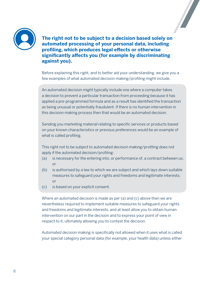



**The right not to be subject to a decision based solely on automated processing of your personal data, including profiling, which produces legal effects or otherwise significantly affects you (for example by discriminating against you).** 

Before explaining this right, and to better aid your understanding, we give you a few examples of what automated decision making/profiling might include.

An automated decision might typically include one where a computer takes a decision to prevent a particular transaction from proceeding because it has applied a pre-programmed formula and as a result has identified the transaction as being unusual or potentially fraudulent. If there is no human intervention in this decision making process then that would be an automated decision.

Sending you marketing material relating to specific services or products based on your known characteristics or previous preferences would be an example of what is called profiling.

This right not to be subject to automated decision making/profiling does not apply if the automated decision/profiling:

- (a) is necessary for the entering into, or performance of, a contract between us; or
- (b) is authorised by a law to which we are subject and which lays down suitable measures to safeguard your rights and freedoms and legitimate interests; or
- (c) is based on your explicit consent.

Where an automated decision is made as per (a) and (c) above then we are nevertheless required to implement suitable measures to safeguard your rights and freedoms and legitimate interests, and at least allow you to obtain human intervention on our part in the decision and to express your point of view in respect to it, ultimately allowing you to contest the decision.

Automated decision making is specifically not allowed when it uses what is called your special category personal data (for example, your health data) unless either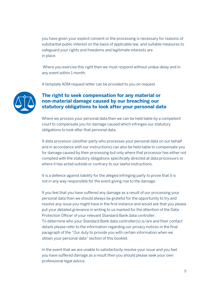you have given your explicit consent or the processing is necessary for reasons of substantial public interest on the basis of applicable law, and suitable measures to safeguard your rights and freedoms and legitimate interests are in place.

 Where you exercise this right then we must respond without undue delay and in any event within 1 month.

A template ADM request letter can be provided to you on request.



#### **The right to seek compensation for any material or non-material damage caused by our breaching our statutory obligations to look after your personal data**

Where we process your personal data then we can be held liable by a competent court to compensate you for damage caused which infringes our statutory obligations to look after that personal data.

A data processor (another party who processes your personal data on our behalf and in accordance with our instructions) can also be held liable to compensate you for damage caused by their processing but only where that processor has either not complied with the statutory obligations specifically directed at data processors or where it has acted outside or contrary to our lawful instructions.

It is a defence against liability for the alleged infringing party to prove that it is not in any way responsible for the event giving rise to the damage.

If you feel that you have suffered any damage as a result of our processing your personal data then we should always be grateful for the opportunity to try and resolve any issue you might have in the first instance and would ask that you please put your detailed grievance in writing to us marked for the attention of the Data Protection Officer of your relevant Standard Bank data controller. To determine who your Standard Bank data controller(s) is/are and their contact details please refer to the information regarding our privacy notices in the final paragraph of the "Our duty to provide you with certain information when we obtain your personal data" section of this booklet.

In the event that we are unable to satisfactorily resolve your issue and you feel you have suffered damage as a result then you should please seek your own professional legal advice.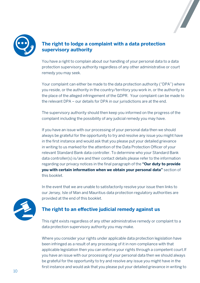



### **The right to lodge a complaint with a data protection supervisory authority**

You have a right to complain about our handling of your personal data to a data protection supervisory authority regardless of any other administrative or court remedy you may seek.

Your complaint can either be made to the data protection authority ("DPA") where you reside, or the authority in the country/territory you work in, or the authority in the place of the alleged infringement of the GDPR. Your complaint can be made to the relevant DPA – our details for DPA in our jurisdictions are at the end.

The supervisory authority should then keep you informed on the progress of the complaint including the possibility of any judicial remedy you may have.

If you have an issue with our processing of your personal data then we should always be grateful for the opportunity to try and resolve any issue you might have in the first instance and would ask that you please put your detailed grievance in writing to us marked for the attention of the Data Protection Officer of your relevant Standard Bank data controller. To determine who your Standard Bank data controller(s) is/are and their contact details please refer to the information regarding our privacy notices in the final paragraph of the **"Our duty to provide you with certain information when we obtain your personal data"** section of this booklet.

In the event that we are unable to satisfactorily resolve your issue then links to our Jersey, Isle of Man and Mauritius data protection regulatory authorities are provided at the end of this booklet.



### **The right to an effective judicial remedy against us**

This right exists regardless of any other administrative remedy or complaint to a data protection supervisory authority you may make.

Where you consider your rights under applicable data protection legislation have been infringed as a result of any processing of it in non-compliance with that applicable legislation then you can enforce your rights through a competent court.If you have an issue with our processing of your personal data then we should always be grateful for the opportunity to try and resolve any issue you might have in the first instance and would ask that you please put your detailed grievance in writing to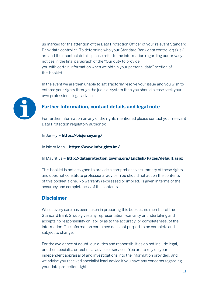us marked for the attention of the Data Protection Officer of your relevant Standard Bank data controller. To determine who your Standard Bank data controller(s) is/ are and their contact details please refer to the information regarding our privacy notices in the final paragraph of the "Our duty to provide you with certain information when we obtain your personal data" section of this booklet.

In the event we are then unable to satisfactorily resolve your issue and you wish to enforce your rights through the judicial system then you should please seek your own professional legal advice.



#### **Further Information, contact details and legal note**

For further information on any of the rights mentioned please contact your relevant Data Protection regulatory authority:

In Jersey – **https://oicjersey.org/** 

In Isle of Man – **https://www.inforights.im/** 

In Mauritius – **http://dataprotection.govmu.org/English/Pages/default.aspx** 

This booklet is not designed to provide a comprehensive summary of these rights and does not constitute professional advice. You should not act on the contents of this booklet alone. No warranty (expressed or implied) is given in terms of the accuracy and completeness of the contents.

#### **Disclaimer**

Whilst every care has been taken in preparing this booklet, no member of the Standard Bank Group gives any representation, warranty or undertaking and accepts no responsibility or liability as to the accuracy, or completeness, of the information. The information contained does not purport to be complete and is subject to change.

For the avoidance of doubt, our duties and responsibilities do not include legal, or other specialist or technical advice or services. You are to rely on your independent appraisal of and investigations into the information provided, and we advise you received specialist legal advice if you have any concerns regarding your data protection rights.